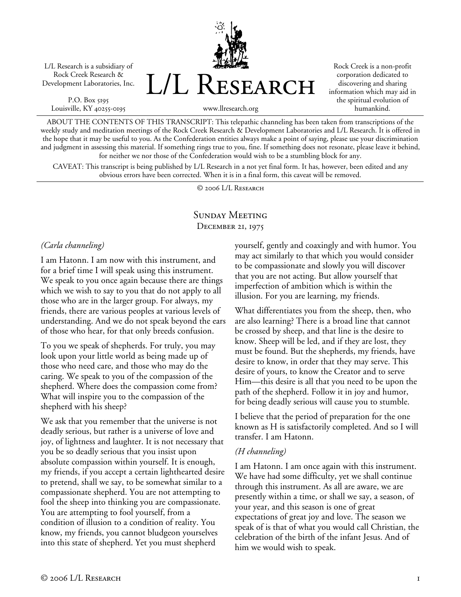L/L Research is a subsidiary of Rock Creek Research & Development Laboratories, Inc.

P.O. Box 5195 Louisville, KY 40255-0195 L/L Research

Rock Creek is a non-profit corporation dedicated to discovering and sharing information which may aid in the spiritual evolution of humankind.

www.llresearch.org

ABOUT THE CONTENTS OF THIS TRANSCRIPT: This telepathic channeling has been taken from transcriptions of the weekly study and meditation meetings of the Rock Creek Research & Development Laboratories and L/L Research. It is offered in the hope that it may be useful to you. As the Confederation entities always make a point of saying, please use your discrimination and judgment in assessing this material. If something rings true to you, fine. If something does not resonate, please leave it behind, for neither we nor those of the Confederation would wish to be a stumbling block for any.

CAVEAT: This transcript is being published by L/L Research in a not yet final form. It has, however, been edited and any obvious errors have been corrected. When it is in a final form, this caveat will be removed.

© 2006 L/L Research

## Sunday Meeting December 21, 1975

## *(Carla channeling)*

I am Hatonn. I am now with this instrument, and for a brief time I will speak using this instrument. We speak to you once again because there are things which we wish to say to you that do not apply to all those who are in the larger group. For always, my friends, there are various peoples at various levels of understanding. And we do not speak beyond the ears of those who hear, for that only breeds confusion.

To you we speak of shepherds. For truly, you may look upon your little world as being made up of those who need care, and those who may do the caring. We speak to you of the compassion of the shepherd. Where does the compassion come from? What will inspire you to the compassion of the shepherd with his sheep?

We ask that you remember that the universe is not deadly serious, but rather is a universe of love and joy, of lightness and laughter. It is not necessary that you be so deadly serious that you insist upon absolute compassion within yourself. It is enough, my friends, if you accept a certain lighthearted desire to pretend, shall we say, to be somewhat similar to a compassionate shepherd. You are not attempting to fool the sheep into thinking you are compassionate. You are attempting to fool yourself, from a condition of illusion to a condition of reality. You know, my friends, you cannot bludgeon yourselves into this state of shepherd. Yet you must shepherd

yourself, gently and coaxingly and with humor. You may act similarly to that which you would consider to be compassionate and slowly you will discover that you are not acting. But allow yourself that imperfection of ambition which is within the illusion. For you are learning, my friends.

What differentiates you from the sheep, then, who are also learning? There is a broad line that cannot be crossed by sheep, and that line is the desire to know. Sheep will be led, and if they are lost, they must be found. But the shepherds, my friends, have desire to know, in order that they may serve. This desire of yours, to know the Creator and to serve Him—this desire is all that you need to be upon the path of the shepherd. Follow it in joy and humor, for being deadly serious will cause you to stumble.

I believe that the period of preparation for the one known as H is satisfactorily completed. And so I will transfer. I am Hatonn.

## *(H channeling)*

I am Hatonn. I am once again with this instrument. We have had some difficulty, yet we shall continue through this instrument. As all are aware, we are presently within a time, or shall we say, a season, of your year, and this season is one of great expectations of great joy and love. The season we speak of is that of what you would call Christian, the celebration of the birth of the infant Jesus. And of him we would wish to speak.